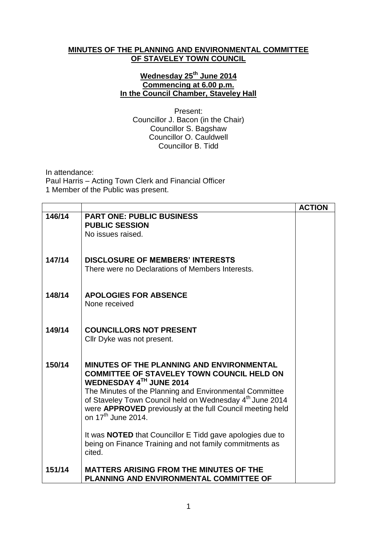## **MINUTES OF THE PLANNING AND ENVIRONMENTAL COMMITTEE OF STAVELEY TOWN COUNCIL**

## **Wednesday 25th June 2014 Commencing at 6.00 p.m. In the Council Chamber, Staveley Hall**

Present: Councillor J. Bacon (in the Chair) Councillor S. Bagshaw Councillor O. Cauldwell Councillor B. Tidd

In attendance:

Paul Harris – Acting Town Clerk and Financial Officer 1 Member of the Public was present.

|        |                                                                                                                                                                                                                                                                                                                                                        | <b>ACTION</b> |
|--------|--------------------------------------------------------------------------------------------------------------------------------------------------------------------------------------------------------------------------------------------------------------------------------------------------------------------------------------------------------|---------------|
| 146/14 | <b>PART ONE: PUBLIC BUSINESS</b><br><b>PUBLIC SESSION</b><br>No issues raised.                                                                                                                                                                                                                                                                         |               |
|        |                                                                                                                                                                                                                                                                                                                                                        |               |
| 147/14 | <b>DISCLOSURE OF MEMBERS' INTERESTS</b><br>There were no Declarations of Members Interests.                                                                                                                                                                                                                                                            |               |
| 148/14 | <b>APOLOGIES FOR ABSENCE</b><br>None received                                                                                                                                                                                                                                                                                                          |               |
| 149/14 | <b>COUNCILLORS NOT PRESENT</b><br>Cllr Dyke was not present.                                                                                                                                                                                                                                                                                           |               |
| 150/14 | <b>MINUTES OF THE PLANNING AND ENVIRONMENTAL</b><br><b>COMMITTEE OF STAVELEY TOWN COUNCIL HELD ON</b><br>WEDNESDAY 4TH JUNE 2014<br>The Minutes of the Planning and Environmental Committee<br>of Staveley Town Council held on Wednesday 4th June 2014<br>were APPROVED previously at the full Council meeting held<br>on 17 <sup>th</sup> June 2014. |               |
|        | It was <b>NOTED</b> that Councillor E Tidd gave apologies due to<br>being on Finance Training and not family commitments as<br>cited.                                                                                                                                                                                                                  |               |
| 151/14 | <b>MATTERS ARISING FROM THE MINUTES OF THE</b><br>PLANNING AND ENVIRONMENTAL COMMITTEE OF                                                                                                                                                                                                                                                              |               |